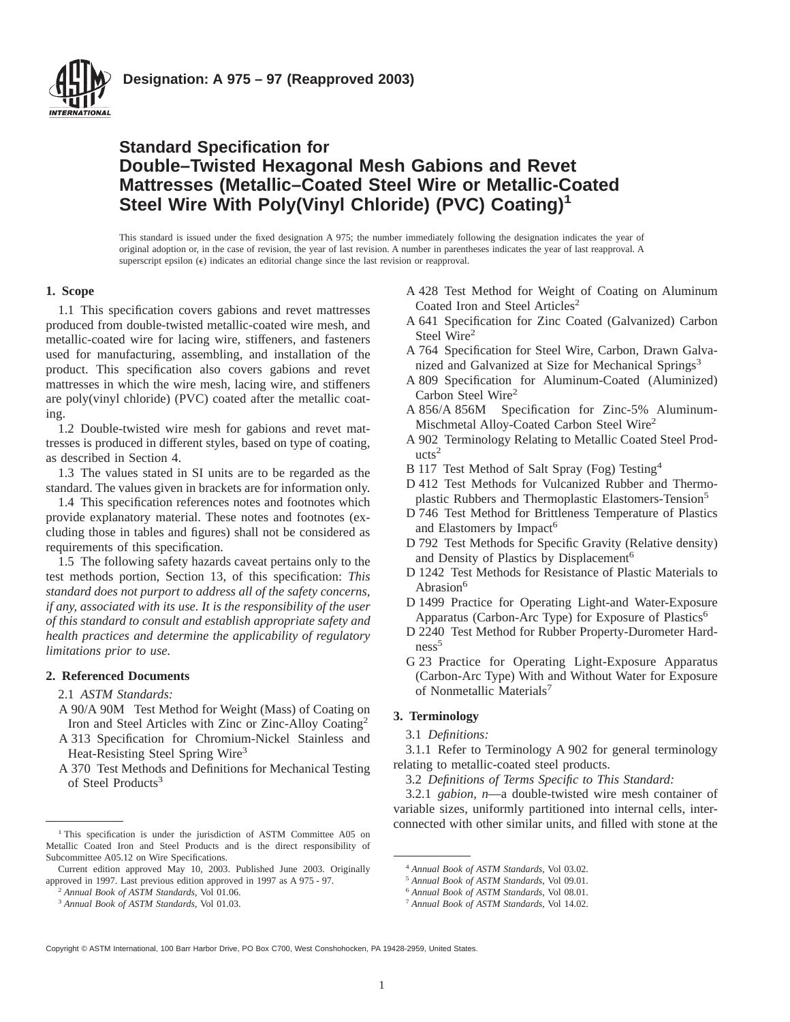

# **Standard Specification for Double–Twisted Hexagonal Mesh Gabions and Revet Mattresses (Metallic–Coated Steel Wire or Metallic-Coated Steel Wire With Poly(Vinyl Chloride) (PVC) Coating)<sup>1</sup>**

This standard is issued under the fixed designation A 975; the number immediately following the designation indicates the year of original adoption or, in the case of revision, the year of last revision. A number in parentheses indicates the year of last reapproval. A superscript epsilon  $(\epsilon)$  indicates an editorial change since the last revision or reapproval.

## **1. Scope**

1.1 This specification covers gabions and revet mattresses produced from double-twisted metallic-coated wire mesh, and metallic-coated wire for lacing wire, stiffeners, and fasteners used for manufacturing, assembling, and installation of the product. This specification also covers gabions and revet mattresses in which the wire mesh, lacing wire, and stiffeners are poly(vinyl chloride) (PVC) coated after the metallic coating.

1.2 Double-twisted wire mesh for gabions and revet mattresses is produced in different styles, based on type of coating, as described in Section 4.

1.3 The values stated in SI units are to be regarded as the standard. The values given in brackets are for information only.

1.4 This specification references notes and footnotes which provide explanatory material. These notes and footnotes (excluding those in tables and figures) shall not be considered as requirements of this specification.

1.5 The following safety hazards caveat pertains only to the test methods portion, Section 13, of this specification: *This standard does not purport to address all of the safety concerns, if any, associated with its use. It is the responsibility of the user of this standard to consult and establish appropriate safety and health practices and determine the applicability of regulatory limitations prior to use.*

## **2. Referenced Documents**

2.1 *ASTM Standards:*

- A 90/A 90M Test Method for Weight (Mass) of Coating on Iron and Steel Articles with Zinc or Zinc-Alloy Coating2
- A 313 Specification for Chromium-Nickel Stainless and Heat-Resisting Steel Spring Wire<sup>3</sup>
- A 370 Test Methods and Definitions for Mechanical Testing of Steel Products<sup>3</sup>
- A 428 Test Method for Weight of Coating on Aluminum Coated Iron and Steel Articles<sup>2</sup>
- A 641 Specification for Zinc Coated (Galvanized) Carbon Steel Wire<sup>2</sup>
- A 764 Specification for Steel Wire, Carbon, Drawn Galvanized and Galvanized at Size for Mechanical Springs<sup>3</sup>
- A 809 Specification for Aluminum-Coated (Aluminized) Carbon Steel Wire<sup>2</sup>
- A 856/A 856M Specification for Zinc-5% Aluminum-Mischmetal Alloy-Coated Carbon Steel Wire2
- A 902 Terminology Relating to Metallic Coated Steel Prod $ucts<sup>2</sup>$
- B 117 Test Method of Salt Spray (Fog) Testing4
- D 412 Test Methods for Vulcanized Rubber and Thermoplastic Rubbers and Thermoplastic Elastomers-Tension<sup>5</sup>
- D 746 Test Method for Brittleness Temperature of Plastics and Elastomers by Impact<sup>6</sup>
- D 792 Test Methods for Specific Gravity (Relative density) and Density of Plastics by Displacement<sup>6</sup>
- D 1242 Test Methods for Resistance of Plastic Materials to Abrasion<sup>6</sup>
- D 1499 Practice for Operating Light-and Water-Exposure Apparatus (Carbon-Arc Type) for Exposure of Plastics<sup>6</sup>
- D 2240 Test Method for Rubber Property-Durometer Hard $ness<sup>5</sup>$
- G 23 Practice for Operating Light-Exposure Apparatus (Carbon-Arc Type) With and Without Water for Exposure of Nonmetallic Materials<sup>7</sup>

# **3. Terminology**

3.1 *Definitions:*

3.1.1 Refer to Terminology A 902 for general terminology relating to metallic-coated steel products.

3.2 *Definitions of Terms Specific to This Standard:*

3.2.1 *gabion*, *n*—a double-twisted wire mesh container of variable sizes, uniformly partitioned into internal cells, inter- $\overline{1}$  This specification is under the jurisdiction of ASTM Committee A05 on

Copyright © ASTM International, 100 Barr Harbor Drive, PO Box C700, West Conshohocken, PA 19428-2959, United States.

Metallic Coated Iron and Steel Products and is the direct responsibility of Subcommittee A05.12 on Wire Specifications.

Current edition approved May 10, 2003. Published June 2003. Originally approved in 1997. Last previous edition approved in 1997 as A 975 - 97.

<sup>2</sup> *Annual Book of ASTM Standards*, Vol 01.06.

<sup>3</sup> *Annual Book of ASTM Standards*, Vol 01.03.

<sup>4</sup> *Annual Book of ASTM Standards*, Vol 03.02.

<sup>5</sup> *Annual Book of ASTM Standards*, Vol 09.01.

<sup>6</sup> *Annual Book of ASTM Standards*, Vol 08.01.

<sup>7</sup> *Annual Book of ASTM Standards*, Vol 14.02.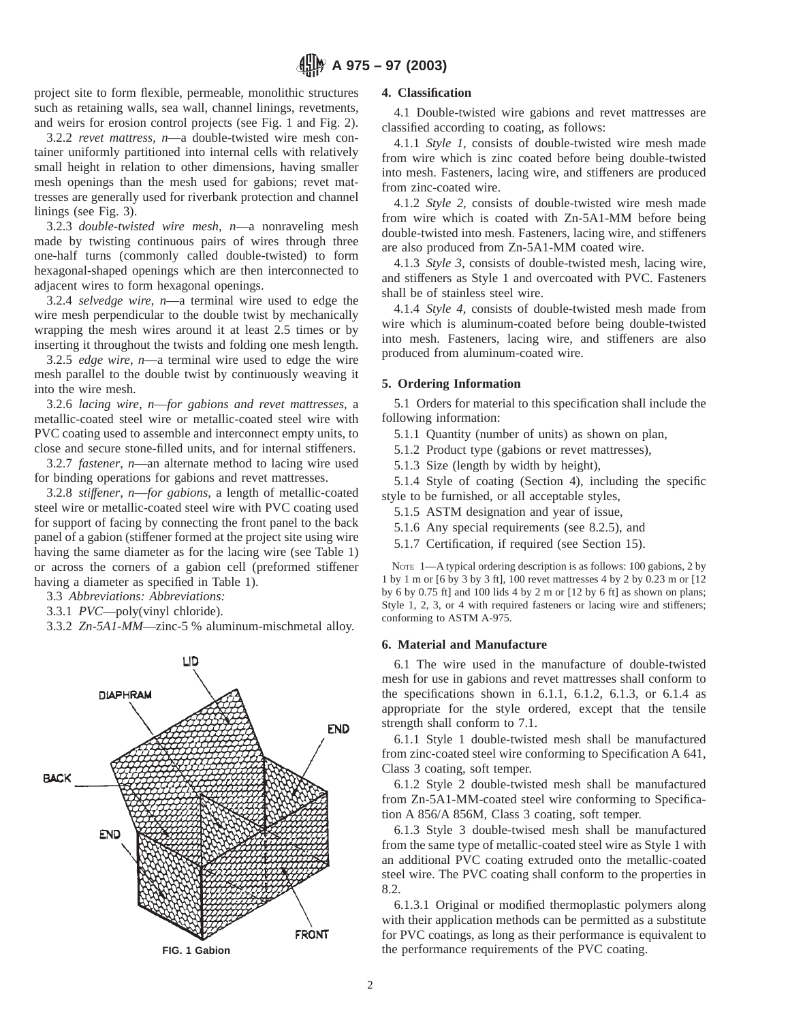project site to form flexible, permeable, monolithic structures such as retaining walls, sea wall, channel linings, revetments, and weirs for erosion control projects (see Fig. 1 and Fig. 2).

3.2.2 *revet mattress*, *n*—a double-twisted wire mesh container uniformly partitioned into internal cells with relatively small height in relation to other dimensions, having smaller mesh openings than the mesh used for gabions; revet mattresses are generally used for riverbank protection and channel linings (see Fig. 3).

3.2.3 *double-twisted wire mesh*, *n*—a nonraveling mesh made by twisting continuous pairs of wires through three one-half turns (commonly called double-twisted) to form hexagonal-shaped openings which are then interconnected to adjacent wires to form hexagonal openings.

3.2.4 *selvedge wire*, *n*—a terminal wire used to edge the wire mesh perpendicular to the double twist by mechanically wrapping the mesh wires around it at least 2.5 times or by inserting it throughout the twists and folding one mesh length.

3.2.5 *edge wire*, *n*—a terminal wire used to edge the wire mesh parallel to the double twist by continuously weaving it into the wire mesh.

3.2.6 *lacing wire*, *n*—*for gabions and revet mattresses*, a metallic-coated steel wire or metallic-coated steel wire with PVC coating used to assemble and interconnect empty units, to close and secure stone-filled units, and for internal stiffeners.

3.2.7 *fastener*, *n*—an alternate method to lacing wire used for binding operations for gabions and revet mattresses.

3.2.8 *stiffener*, *n*—*for gabions*, a length of metallic-coated steel wire or metallic-coated steel wire with PVC coating used for support of facing by connecting the front panel to the back panel of a gabion (stiffener formed at the project site using wire having the same diameter as for the lacing wire (see Table 1) or across the corners of a gabion cell (preformed stiffener having a diameter as specified in Table 1).

3.3 *Abbreviations: Abbreviations:*

3.3.1 *PVC*—poly(vinyl chloride).

3.3.2 *Zn-5A1-MM*—zinc-5 % aluminum-mischmetal alloy.



# **4. Classification**

4.1 Double-twisted wire gabions and revet mattresses are classified according to coating, as follows:

4.1.1 *Style 1*, consists of double-twisted wire mesh made from wire which is zinc coated before being double-twisted into mesh. Fasteners, lacing wire, and stiffeners are produced from zinc-coated wire.

4.1.2 *Style 2*, consists of double-twisted wire mesh made from wire which is coated with Zn-5A1-MM before being double-twisted into mesh. Fasteners, lacing wire, and stiffeners are also produced from Zn-5A1-MM coated wire.

4.1.3 *Style 3*, consists of double-twisted mesh, lacing wire, and stiffeners as Style 1 and overcoated with PVC. Fasteners shall be of stainless steel wire.

4.1.4 *Style 4*, consists of double-twisted mesh made from wire which is aluminum-coated before being double-twisted into mesh. Fasteners, lacing wire, and stiffeners are also produced from aluminum-coated wire.

## **5. Ordering Information**

5.1 Orders for material to this specification shall include the following information:

5.1.1 Quantity (number of units) as shown on plan,

5.1.2 Product type (gabions or revet mattresses),

5.1.3 Size (length by width by height),

5.1.4 Style of coating (Section 4), including the specific style to be furnished, or all acceptable styles,

5.1.5 ASTM designation and year of issue,

5.1.6 Any special requirements (see 8.2.5), and

5.1.7 Certification, if required (see Section 15).

NOTE 1—A typical ordering description is as follows: 100 gabions, 2 by 1 by 1 m or [6 by 3 by 3 ft], 100 revet mattresses 4 by 2 by 0.23 m or [12 by 6 by 0.75 ft] and 100 lids 4 by 2 m or [12 by 6 ft] as shown on plans; Style 1, 2, 3, or 4 with required fasteners or lacing wire and stiffeners; conforming to ASTM A-975.

## **6. Material and Manufacture**

6.1 The wire used in the manufacture of double-twisted mesh for use in gabions and revet mattresses shall conform to the specifications shown in 6.1.1, 6.1.2, 6.1.3, or 6.1.4 as appropriate for the style ordered, except that the tensile strength shall conform to 7.1.

6.1.1 Style 1 double-twisted mesh shall be manufactured from zinc-coated steel wire conforming to Specification A 641, Class 3 coating, soft temper.

6.1.2 Style 2 double-twisted mesh shall be manufactured from Zn-5A1-MM-coated steel wire conforming to Specification A 856/A 856M, Class 3 coating, soft temper.

6.1.3 Style 3 double-twised mesh shall be manufactured from the same type of metallic-coated steel wire as Style 1 with an additional PVC coating extruded onto the metallic-coated steel wire. The PVC coating shall conform to the properties in 8.2.

6.1.3.1 Original or modified thermoplastic polymers along with their application methods can be permitted as a substitute for PVC coatings, as long as their performance is equivalent to **FIG. 1 Gabion** the performance requirements of the PVC coating.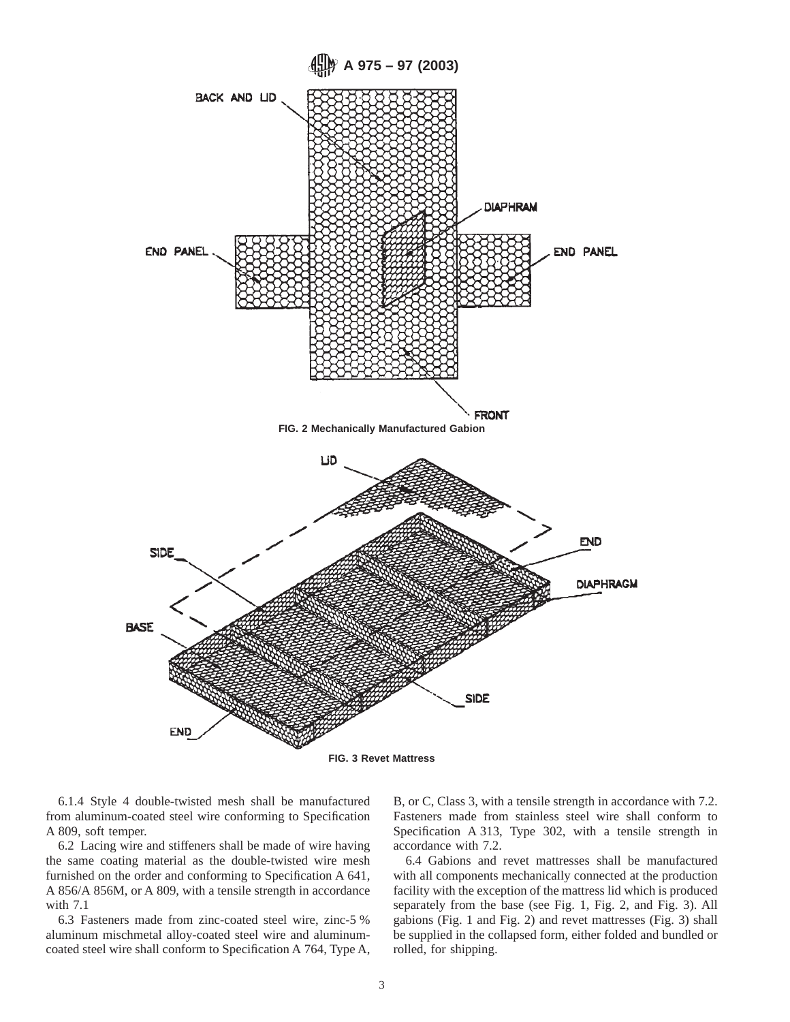

6.1.4 Style 4 double-twisted mesh shall be manufactured from aluminum-coated steel wire conforming to Specification A 809, soft temper.

6.2 Lacing wire and stiffeners shall be made of wire having the same coating material as the double-twisted wire mesh furnished on the order and conforming to Specification A 641, A 856/A 856M, or A 809, with a tensile strength in accordance with 7.1

6.3 Fasteners made from zinc-coated steel wire, zinc-5 % aluminum mischmetal alloy-coated steel wire and aluminumcoated steel wire shall conform to Specification A 764, Type A, B, or C, Class 3, with a tensile strength in accordance with 7.2. Fasteners made from stainless steel wire shall conform to Specification A 313, Type 302, with a tensile strength in accordance with 7.2.

6.4 Gabions and revet mattresses shall be manufactured with all components mechanically connected at the production facility with the exception of the mattress lid which is produced separately from the base (see Fig. 1, Fig. 2, and Fig. 3). All gabions (Fig. 1 and Fig. 2) and revet mattresses (Fig. 3) shall be supplied in the collapsed form, either folded and bundled or rolled, for shipping.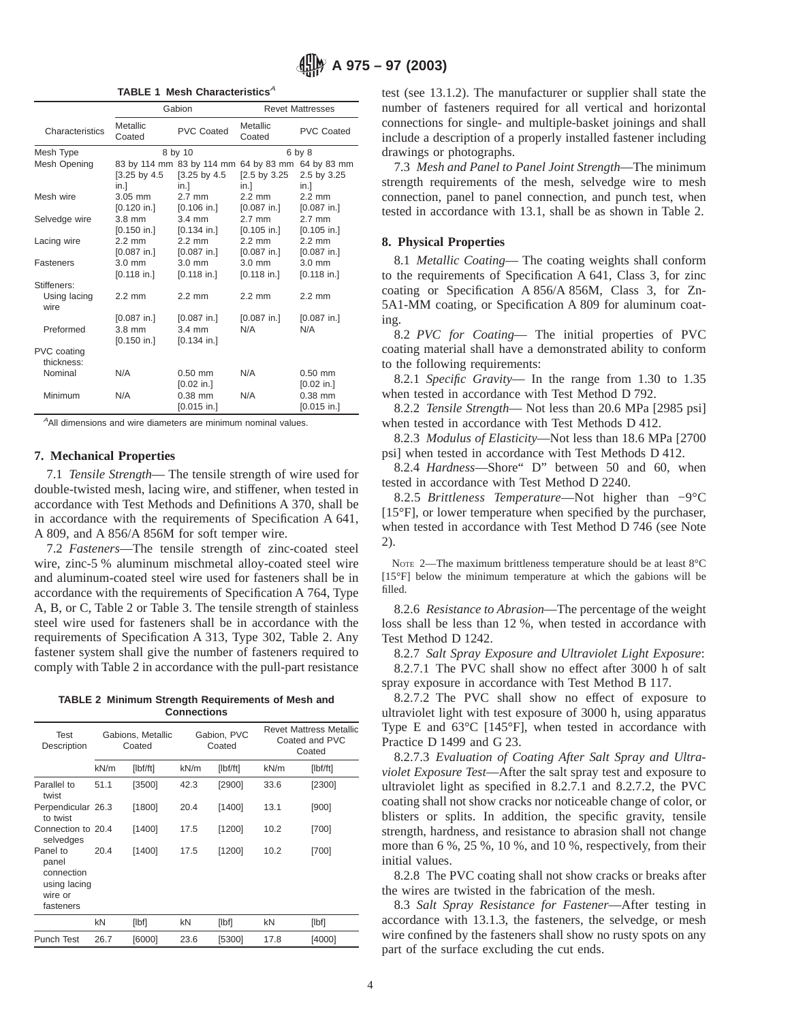# **A 975 – 97 (2003)**

**TABLE 1 Mesh Characteristics<sup>A</sup>** 

|                           | Gabion             |                           | <b>Revet Mattresses</b>  |                   |  |  |
|---------------------------|--------------------|---------------------------|--------------------------|-------------------|--|--|
| Characteristics           | Metallic<br>Coated | <b>PVC Coated</b>         | Metallic<br>Coated       | <b>PVC Coated</b> |  |  |
| Mesh Type                 |                    | 8 by 10                   |                          | 6 by 8            |  |  |
| Mesh Opening              |                    | 83 by 114 mm 83 by 114 mm | 64 by 83 mm              | 64 by 83 mm       |  |  |
|                           | [3.25 by 4.5]      | [3.25 by 4.5]             | $[2.5 \text{ by } 3.25]$ | 2.5 by 3.25       |  |  |
|                           | in.1               | in.1                      | in.1                     | in.1              |  |  |
| Mesh wire                 | $3.05$ mm          | $2.7 \text{ mm}$          | $2.2 \text{ mm}$         | $2.2 \text{ mm}$  |  |  |
|                           | $[0.120$ in.]      | $[0.106$ in.]             | $[0.087$ in.]            | $[0.087$ in.]     |  |  |
| Selvedge wire             | $3.8 \text{ mm}$   | $3.4 \text{ mm}$          | $2.7$ mm                 | $2.7$ mm          |  |  |
|                           | $[0.150$ in.]      | $[0.134$ in.]             | $[0.105$ in.]            | $[0.105$ in.]     |  |  |
| Lacing wire               | $2.2 \text{ mm}$   | $22$ mm                   | $22$ mm                  | $22$ mm           |  |  |
|                           | $[0.087$ in.]      | $[0.087$ in.]             | $[0.087$ in.]            | $[0.087$ in.]     |  |  |
| <b>Fasteners</b>          | $3.0 \text{ mm}$   | $3.0 \text{ mm}$          | $3.0 \text{ mm}$         | $3.0 \text{ mm}$  |  |  |
|                           | $[0.118$ in.]      | $[0.118$ in.]             | $[0.118$ in.]            | $[0.118$ in.]     |  |  |
| Stiffeners:               |                    |                           |                          |                   |  |  |
| Using lacing<br>wire      | $2.2 \text{ mm}$   | $22$ mm                   | $22$ mm                  | $22 \text{ mm}$   |  |  |
|                           | $[0.087$ in.]      | $[0.087$ in.]             | $[0.087$ in.]            | $[0.087$ in.]     |  |  |
| Preformed                 | $3.8$ mm           | $3.4 \text{ mm}$          | N/A                      | N/A               |  |  |
|                           | $[0.150$ in.]      | $[0.134$ in.]             |                          |                   |  |  |
| PVC coating<br>thickness: |                    |                           |                          |                   |  |  |
| Nominal                   | N/A                | $0.50$ mm                 | N/A                      | $0.50$ mm         |  |  |
|                           |                    | $[0.02$ in.]              |                          | $[0.02$ in.]      |  |  |
| Minimum                   | N/A                | $0.38$ mm                 | N/A                      | $0.38$ mm         |  |  |
|                           |                    | $[0.015$ in.]             |                          | $[0.015$ in.]     |  |  |

<sup>A</sup>All dimensions and wire diameters are minimum nominal values.

#### **7. Mechanical Properties**

7.1 *Tensile Strength*— The tensile strength of wire used for double-twisted mesh, lacing wire, and stiffener, when tested in accordance with Test Methods and Definitions A 370, shall be in accordance with the requirements of Specification A 641, A 809, and A 856/A 856M for soft temper wire.

7.2 *Fasteners*—The tensile strength of zinc-coated steel wire, zinc-5 % aluminum mischmetal alloy-coated steel wire and aluminum-coated steel wire used for fasteners shall be in accordance with the requirements of Specification A 764, Type A, B, or C, Table 2 or Table 3. The tensile strength of stainless steel wire used for fasteners shall be in accordance with the requirements of Specification A 313, Type 302, Table 2. Any fastener system shall give the number of fasteners required to comply with Table 2 in accordance with the pull-part resistance

**TABLE 2 Minimum Strength Requirements of Mesh and Connections**

| Test<br>Description                                                     | Gabions, Metallic<br>Coated |          | Gabion, PVC<br>Coated |         | <b>Revet Mattress Metallic</b><br>Coated and PVC<br>Coated |          |
|-------------------------------------------------------------------------|-----------------------------|----------|-----------------------|---------|------------------------------------------------------------|----------|
|                                                                         | kN/m                        | [Ibf/ft] | kN/m                  | [Ibf/t] | kN/m                                                       | [Ibf/ft] |
| Parallel to<br>twist                                                    | 51.1                        | [3500]   | 42.3                  | [2900]  | 33.6                                                       | [2300]   |
| Perpendicular 26.3<br>to twist                                          |                             | [1800]   | 20.4                  | [1400]  | 13.1                                                       | [900]    |
| Connection to 20.4<br>selvedges                                         |                             | [1400]   | 17.5                  | [1200]  | 10.2                                                       | [700]    |
| Panel to<br>panel<br>connection<br>using lacing<br>wire or<br>fasteners | 20.4                        | [1400]   | 17.5                  | [1200]  | 10.2                                                       | [700]    |
|                                                                         | kN                          | [lbf]    | kN                    | [lbf]   | kN                                                         | [lbf]    |
| Punch Test                                                              | 26.7                        | [6000]   | 23.6                  | [5300]  | 17.8                                                       | [4000]   |

test (see 13.1.2). The manufacturer or supplier shall state the number of fasteners required for all vertical and horizontal connections for single- and multiple-basket joinings and shall include a description of a properly installed fastener including drawings or photographs.

7.3 *Mesh and Panel to Panel Joint Strength*—The minimum strength requirements of the mesh, selvedge wire to mesh connection, panel to panel connection, and punch test, when tested in accordance with 13.1, shall be as shown in Table 2.

# **8. Physical Properties**

8.1 *Metallic Coating*— The coating weights shall conform to the requirements of Specification A 641, Class 3, for zinc coating or Specification A 856/A 856M, Class 3, for Zn-5A1-MM coating, or Specification A 809 for aluminum coating.

8.2 *PVC for Coating*— The initial properties of PVC coating material shall have a demonstrated ability to conform to the following requirements:

8.2.1 *Specific Gravity*— In the range from 1.30 to 1.35 when tested in accordance with Test Method D 792.

8.2.2 *Tensile Strength*— Not less than 20.6 MPa [2985 psi] when tested in accordance with Test Methods D 412.

8.2.3 *Modulus of Elasticity*—Not less than 18.6 MPa [2700 psi] when tested in accordance with Test Methods D 412.

8.2.4 *Hardness*—Shore" D" between 50 and 60, when tested in accordance with Test Method D 2240.

8.2.5 *Brittleness Temperature*—Not higher than −9°C [15°F], or lower temperature when specified by the purchaser, when tested in accordance with Test Method D 746 (see Note 2).

NOTE 2—The maximum brittleness temperature should be at least 8°C [15°F] below the minimum temperature at which the gabions will be filled.

8.2.6 *Resistance to Abrasion*—The percentage of the weight loss shall be less than 12 %, when tested in accordance with Test Method D 1242.

8.2.7 *Salt Spray Exposure and Ultraviolet Light Exposure*: 8.2.7.1 The PVC shall show no effect after 3000 h of salt spray exposure in accordance with Test Method B 117.

8.2.7.2 The PVC shall show no effect of exposure to ultraviolet light with test exposure of 3000 h, using apparatus Type E and  $63^{\circ}$ C [145 $^{\circ}$ F], when tested in accordance with Practice D 1499 and G 23.

8.2.7.3 *Evaluation of Coating After Salt Spray and Ultraviolet Exposure Test*—After the salt spray test and exposure to ultraviolet light as specified in 8.2.7.1 and 8.2.7.2, the PVC coating shall not show cracks nor noticeable change of color, or blisters or splits. In addition, the specific gravity, tensile strength, hardness, and resistance to abrasion shall not change more than 6 %, 25 %, 10 %, and 10 %, respectively, from their initial values.

8.2.8 The PVC coating shall not show cracks or breaks after the wires are twisted in the fabrication of the mesh.

8.3 *Salt Spray Resistance for Fastener*—After testing in accordance with 13.1.3, the fasteners, the selvedge, or mesh wire confined by the fasteners shall show no rusty spots on any part of the surface excluding the cut ends.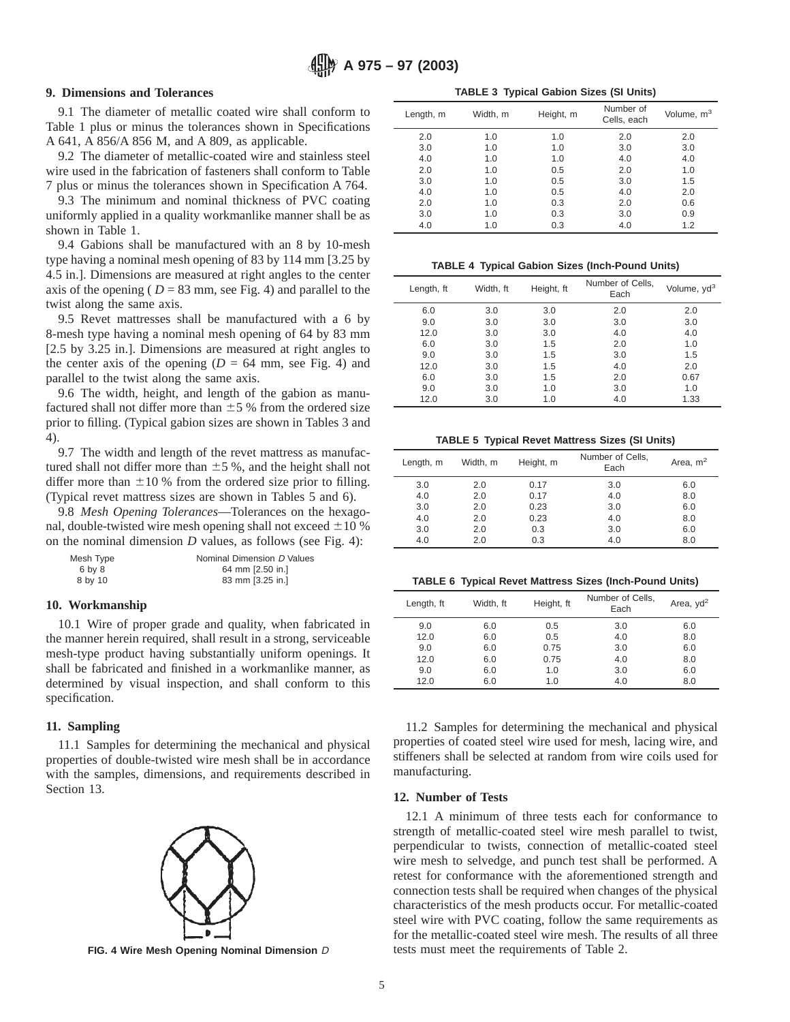# **9. Dimensions and Tolerances**

9.1 The diameter of metallic coated wire shall conform to Table 1 plus or minus the tolerances shown in Specifications A 641, A 856/A 856 M, and A 809, as applicable.

9.2 The diameter of metallic-coated wire and stainless steel wire used in the fabrication of fasteners shall conform to Table 7 plus or minus the tolerances shown in Specification A 764.

9.3 The minimum and nominal thickness of PVC coating uniformly applied in a quality workmanlike manner shall be as shown in Table 1.

9.4 Gabions shall be manufactured with an 8 by 10-mesh type having a nominal mesh opening of 83 by 114 mm [3.25 by 4.5 in.]. Dimensions are measured at right angles to the center axis of the opening ( $D = 83$  mm, see Fig. 4) and parallel to the twist along the same axis.

9.5 Revet mattresses shall be manufactured with a 6 by 8-mesh type having a nominal mesh opening of 64 by 83 mm [2.5 by 3.25 in.]. Dimensions are measured at right angles to the center axis of the opening  $(D = 64$  mm, see Fig. 4) and parallel to the twist along the same axis.

9.6 The width, height, and length of the gabion as manufactured shall not differ more than  $\pm 5$  % from the ordered size prior to filling. (Typical gabion sizes are shown in Tables 3 and 4).

9.7 The width and length of the revet mattress as manufactured shall not differ more than  $\pm 5$ %, and the height shall not differ more than  $\pm 10$  % from the ordered size prior to filling. (Typical revet mattress sizes are shown in Tables 5 and 6).

9.8 *Mesh Opening Tolerances*—Tolerances on the hexagonal, double-twisted wire mesh opening shall not exceed  $\pm 10$  % on the nominal dimension *D* values, as follows (see Fig. 4):

| Mesh Type | Nominal Dimension D Values |
|-----------|----------------------------|
| 6 by 8    | 64 mm [2.50 in.]           |
| 8 by 10   | 83 mm [3.25 in.]           |

### **10. Workmanship**

10.1 Wire of proper grade and quality, when fabricated in the manner herein required, shall result in a strong, serviceable mesh-type product having substantially uniform openings. It shall be fabricated and finished in a workmanlike manner, as determined by visual inspection, and shall conform to this specification.

## **11. Sampling**

11.1 Samples for determining the mechanical and physical properties of double-twisted wire mesh shall be in accordance with the samples, dimensions, and requirements described in Section 13.



| Length, m | Width, m | Height, m | Number of<br>Cells, each | Volume, m <sup>3</sup> |
|-----------|----------|-----------|--------------------------|------------------------|
| 2.0       | 1.0      | 1.0       | 2.0                      | 2.0                    |
| 3.0       | 1.0      | 1.0       | 3.0                      | 3.0                    |
| 4.0       | 1.0      | 1.0       | 4.0                      | 4.0                    |
| 2.0       | 1.0      | 0.5       | 2.0                      | 1.0                    |
| 3.0       | 1.0      | 0.5       | 3.0                      | 1.5                    |
| 4.0       | 1.0      | 0.5       | 4.0                      | 2.0                    |
| 2.0       | 1.0      | 0.3       | 2.0                      | 0.6                    |
| 3.0       | 1.0      | 0.3       | 3.0                      | 0.9                    |
| 4.0       | 1.0      | 0.3       | 4.0                      | 1.2                    |

**TABLE 4 Typical Gabion Sizes (Inch-Pound Units)**

| Length, ft | Width, ft | Height, ft | Number of Cells,<br>Each | Volume, yd <sup>3</sup> |
|------------|-----------|------------|--------------------------|-------------------------|
| 6.0        | 3.0       | 3.0        | 2.0                      | 2.0                     |
| 9.0        | 3.0       | 3.0        | 3.0                      | 3.0                     |
| 12.0       | 3.0       | 3.0        | 4.0                      | 4.0                     |
| 6.0        | 3.0       | 1.5        | 2.0                      | 1.0                     |
| 9.0        | 3.0       | 1.5        | 3.0                      | 1.5                     |
| 12.0       | 3.0       | 1.5        | 4.0                      | 2.0                     |
| 6.0        | 3.0       | 1.5        | 2.0                      | 0.67                    |
| 9.0        | 3.0       | 1.0        | 3.0                      | 1.0                     |
| 12.0       | 3.0       | 1.0        | 4.0                      | 1.33                    |

**TABLE 5 Typical Revet Mattress Sizes (SI Units)**

| Length, m | Width, m | Height, m | Number of Cells,<br>Each | Area, $m2$ |
|-----------|----------|-----------|--------------------------|------------|
| 3.0       | 2.0      | 0.17      | 3.0                      | 6.0        |
| 4.0       | 2.0      | 0.17      | 4.0                      | 8.0        |
| 3.0       | 2.0      | 0.23      | 3.0                      | 6.0        |
| 4.0       | 2.0      | 0.23      | 4.0                      | 8.0        |
| 3.0       | 2.0      | 0.3       | 3.0                      | 6.0        |
| 4.0       | 2.0      | 0.3       | 4.0                      | 8.0        |

**TABLE 6 Typical Revet Mattress Sizes (Inch-Pound Units)**

| Length, ft | Width. ft | Height, ft | Number of Cells.<br>Each | Area, $yd^2$ |
|------------|-----------|------------|--------------------------|--------------|
| 9.0        | 6.0       | 0.5        | 3.0                      | 6.0          |
| 12.0       | 6.0       | 0.5        | 4.0                      | 8.0          |
| 9.0        | 6.0       | 0.75       | 3.0                      | 6.0          |
| 12.0       | 6.0       | 0.75       | 4.0                      | 8.0          |
| 9.0        | 6.0       | 1.0        | 3.0                      | 6.0          |
| 12.0       | 6.0       | 1.0        | 4.0                      | 8.0          |

11.2 Samples for determining the mechanical and physical properties of coated steel wire used for mesh, lacing wire, and stiffeners shall be selected at random from wire coils used for manufacturing.

# **12. Number of Tests**

12.1 A minimum of three tests each for conformance to strength of metallic-coated steel wire mesh parallel to twist, perpendicular to twists, connection of metallic-coated steel wire mesh to selvedge, and punch test shall be performed. A retest for conformance with the aforementioned strength and connection tests shall be required when changes of the physical characteristics of the mesh products occur. For metallic-coated steel wire with PVC coating, follow the same requirements as for the metallic-coated steel wire mesh. The results of all three **FIG. 4 Wire Mesh Opening Nominal Dimension** D tests must meet the requirements of Table 2.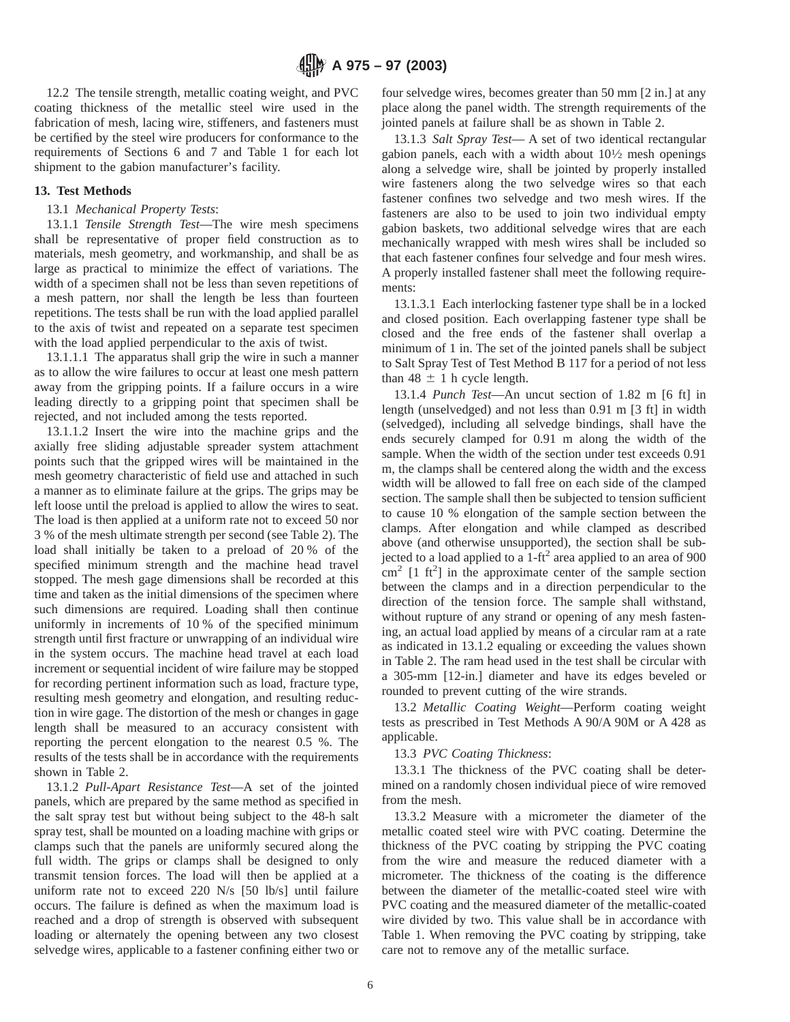12.2 The tensile strength, metallic coating weight, and PVC coating thickness of the metallic steel wire used in the fabrication of mesh, lacing wire, stiffeners, and fasteners must be certified by the steel wire producers for conformance to the requirements of Sections 6 and 7 and Table 1 for each lot shipment to the gabion manufacturer's facility.

# **13. Test Methods**

## 13.1 *Mechanical Property Tests*:

13.1.1 *Tensile Strength Test*—The wire mesh specimens shall be representative of proper field construction as to materials, mesh geometry, and workmanship, and shall be as large as practical to minimize the effect of variations. The width of a specimen shall not be less than seven repetitions of a mesh pattern, nor shall the length be less than fourteen repetitions. The tests shall be run with the load applied parallel to the axis of twist and repeated on a separate test specimen with the load applied perpendicular to the axis of twist.

13.1.1.1 The apparatus shall grip the wire in such a manner as to allow the wire failures to occur at least one mesh pattern away from the gripping points. If a failure occurs in a wire leading directly to a gripping point that specimen shall be rejected, and not included among the tests reported.

13.1.1.2 Insert the wire into the machine grips and the axially free sliding adjustable spreader system attachment points such that the gripped wires will be maintained in the mesh geometry characteristic of field use and attached in such a manner as to eliminate failure at the grips. The grips may be left loose until the preload is applied to allow the wires to seat. The load is then applied at a uniform rate not to exceed 50 nor 3 % of the mesh ultimate strength per second (see Table 2). The load shall initially be taken to a preload of 20 % of the specified minimum strength and the machine head travel stopped. The mesh gage dimensions shall be recorded at this time and taken as the initial dimensions of the specimen where such dimensions are required. Loading shall then continue uniformly in increments of 10 % of the specified minimum strength until first fracture or unwrapping of an individual wire in the system occurs. The machine head travel at each load increment or sequential incident of wire failure may be stopped for recording pertinent information such as load, fracture type, resulting mesh geometry and elongation, and resulting reduction in wire gage. The distortion of the mesh or changes in gage length shall be measured to an accuracy consistent with reporting the percent elongation to the nearest 0.5 %. The results of the tests shall be in accordance with the requirements shown in Table 2.

13.1.2 *Pull-Apart Resistance Test*—A set of the jointed panels, which are prepared by the same method as specified in the salt spray test but without being subject to the 48-h salt spray test, shall be mounted on a loading machine with grips or clamps such that the panels are uniformly secured along the full width. The grips or clamps shall be designed to only transmit tension forces. The load will then be applied at a uniform rate not to exceed 220 N/s [50 lb/s] until failure occurs. The failure is defined as when the maximum load is reached and a drop of strength is observed with subsequent loading or alternately the opening between any two closest selvedge wires, applicable to a fastener confining either two or

four selvedge wires, becomes greater than 50 mm [2 in.] at any place along the panel width. The strength requirements of the jointed panels at failure shall be as shown in Table 2.

13.1.3 *Salt Spray Test*— A set of two identical rectangular gabion panels, each with a width about  $10\frac{1}{2}$  mesh openings along a selvedge wire, shall be jointed by properly installed wire fasteners along the two selvedge wires so that each fastener confines two selvedge and two mesh wires. If the fasteners are also to be used to join two individual empty gabion baskets, two additional selvedge wires that are each mechanically wrapped with mesh wires shall be included so that each fastener confines four selvedge and four mesh wires. A properly installed fastener shall meet the following requirements:

13.1.3.1 Each interlocking fastener type shall be in a locked and closed position. Each overlapping fastener type shall be closed and the free ends of the fastener shall overlap a minimum of 1 in. The set of the jointed panels shall be subject to Salt Spray Test of Test Method B 117 for a period of not less than  $48 \pm 1$  h cycle length.

13.1.4 *Punch Test*—An uncut section of 1.82 m [6 ft] in length (unselvedged) and not less than 0.91 m [3 ft] in width (selvedged), including all selvedge bindings, shall have the ends securely clamped for 0.91 m along the width of the sample. When the width of the section under test exceeds 0.91 m, the clamps shall be centered along the width and the excess width will be allowed to fall free on each side of the clamped section. The sample shall then be subjected to tension sufficient to cause 10 % elongation of the sample section between the clamps. After elongation and while clamped as described above (and otherwise unsupported), the section shall be subjected to a load applied to a  $1-ft^2$  area applied to an area of 900  $\text{cm}^2$  [1 ft<sup>2</sup>] in the approximate center of the sample section between the clamps and in a direction perpendicular to the direction of the tension force. The sample shall withstand, without rupture of any strand or opening of any mesh fastening, an actual load applied by means of a circular ram at a rate as indicated in 13.1.2 equaling or exceeding the values shown in Table 2. The ram head used in the test shall be circular with a 305-mm [12-in.] diameter and have its edges beveled or rounded to prevent cutting of the wire strands.

13.2 *Metallic Coating Weight*—Perform coating weight tests as prescribed in Test Methods A 90/A 90M or A 428 as applicable.

# 13.3 *PVC Coating Thickness*:

13.3.1 The thickness of the PVC coating shall be determined on a randomly chosen individual piece of wire removed from the mesh.

13.3.2 Measure with a micrometer the diameter of the metallic coated steel wire with PVC coating. Determine the thickness of the PVC coating by stripping the PVC coating from the wire and measure the reduced diameter with a micrometer. The thickness of the coating is the difference between the diameter of the metallic-coated steel wire with PVC coating and the measured diameter of the metallic-coated wire divided by two. This value shall be in accordance with Table 1. When removing the PVC coating by stripping, take care not to remove any of the metallic surface.